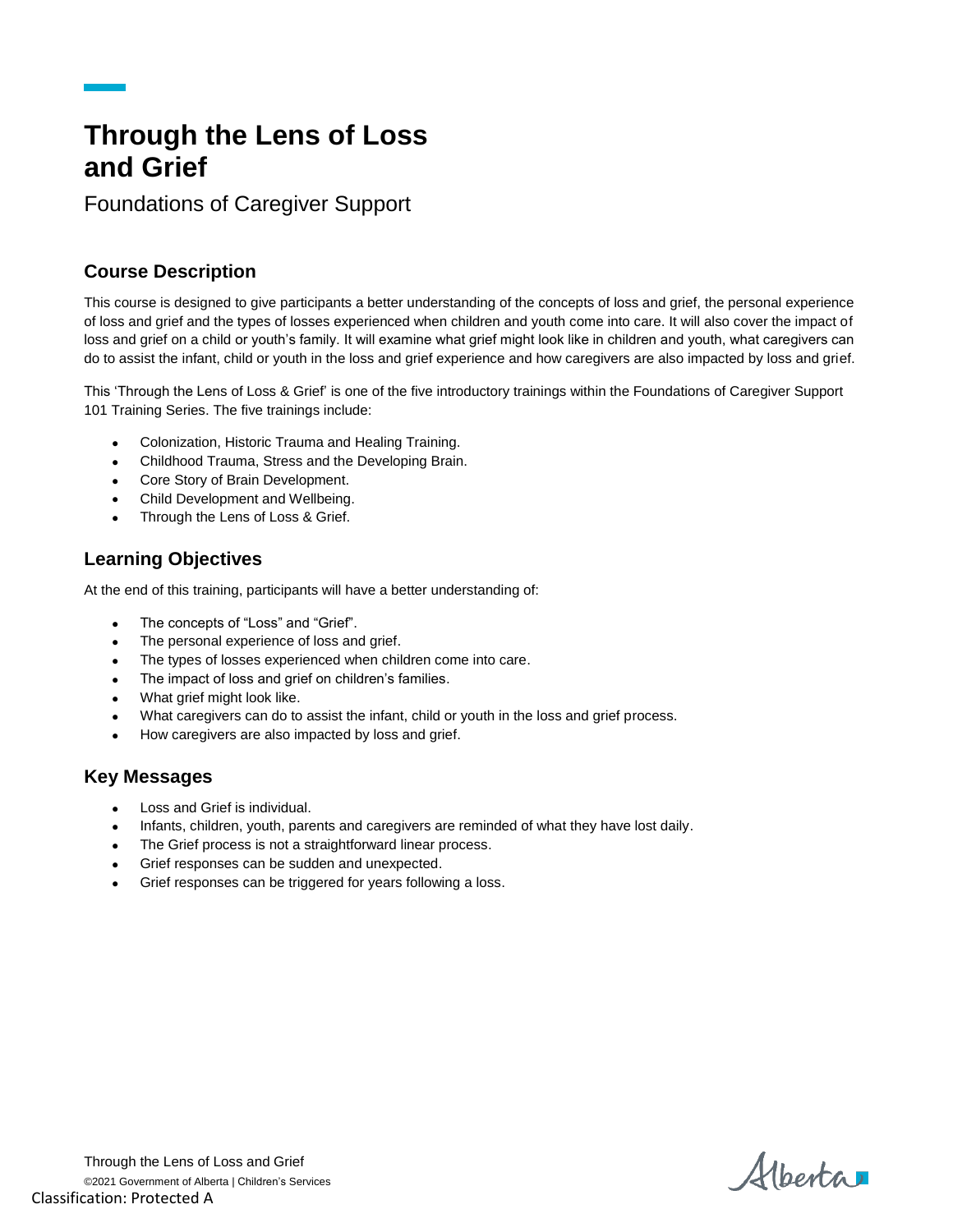# **Through the Lens of Loss and Grief**

Foundations of Caregiver Support

### **Course Description**

This course is designed to give participants a better understanding of the concepts of loss and grief, the personal experience of loss and grief and the types of losses experienced when children and youth come into care. It will also cover the impact of loss and grief on a child or youth's family. It will examine what grief might look like in children and youth, what caregivers can do to assist the infant, child or youth in the loss and grief experience and how caregivers are also impacted by loss and grief.

This 'Through the Lens of Loss & Grief' is one of the five introductory trainings within the Foundations of Caregiver Support 101 Training Series. The five trainings include:

- Colonization, Historic Trauma and Healing Training.
- Childhood Trauma, Stress and the Developing Brain.
- Core Story of Brain Development.
- Child Development and Wellbeing.
- Through the Lens of Loss & Grief.

#### **Learning Objectives**

At the end of this training, participants will have a better understanding of:

- The concepts of "Loss" and "Grief".
- The personal experience of loss and grief.
- The types of losses experienced when children come into care.
- The impact of loss and grief on children's families.
- What grief might look like.
- What caregivers can do to assist the infant, child or youth in the loss and grief process.
- How caregivers are also impacted by loss and grief.

#### **Key Messages**

- Loss and Grief is individual.
- Infants, children, youth, parents and caregivers are reminded of what they have lost daily.
- The Grief process is not a straightforward linear process.
- Grief responses can be sudden and unexpected.
- Grief responses can be triggered for years following a loss.

Albertar